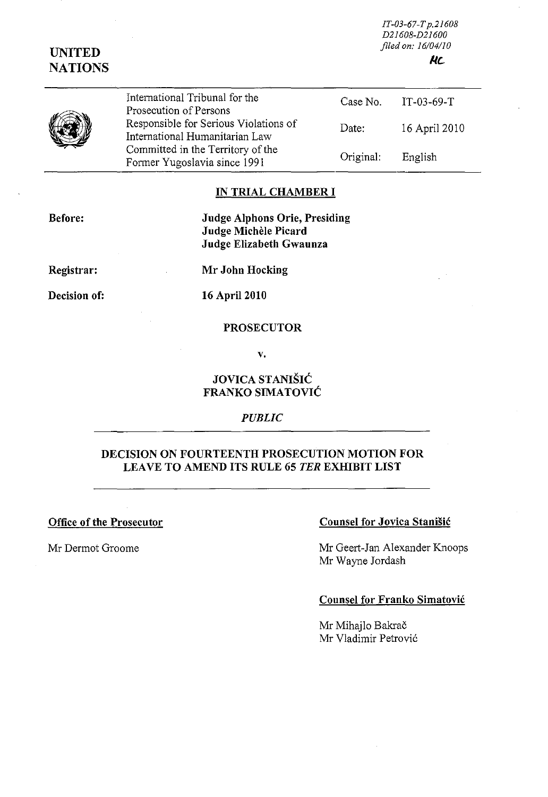*IT-03-67-Tp.2160B D2160B-D21600 filed on: 16104110*  **KL** 

# UNITED **NATIONS**

| ý |
|---|
|---|

International Tribunal for the Prosecution of Persons Responsible for Serious Violations of International Humanitarian Law Committed in the Territory of the Former Yugoslavia since 1991 Case No. IT-03-69-T Date: 16 April 2010 Original: English

# IN TRIAL CHAMBER I

Before:

Judge Alphons Orie, Presiding Judge Michele Picard Judge Elizabeth Gwaunza

Registrar:

Decision of:

16 April 2010

Mr John Hocking

### PROSECUTOR

v.

## JOVICA STANISIC FRANKO SIMATOVIC

*PUBLIC* 

## DECISION ON FOURTEENTH PROSECUTION MOTION FOR LEAVE TO AMEND ITS RULE 65 *TER* EXHIBIT LIST

Office of the Prosecutor

### Mr Dermot Groome

# Counsel for Jovica Stanišić

Mr Geert-Jan Alexander Knoops Mr Wayne Jordash

### Counsel for Franko Simatovic

Mr Mihajlo Bakrač Mr Vladimir Petrovi6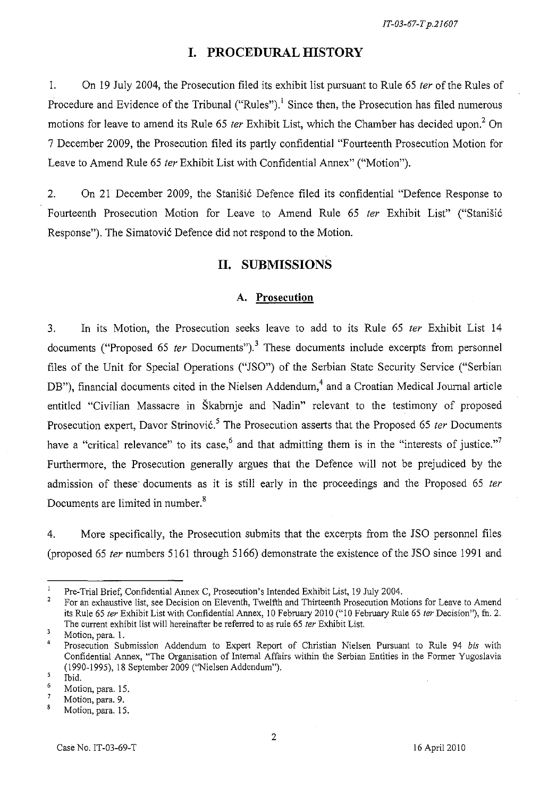# **I. PROCEDURAL HISTORY**

1. On 19 Iuly 2004, the Prosecution filed its exhibit list pursuant to Rule 65 *ter* of the Rules of Procedure and Evidence of the Tribunal ("Rules").<sup>1</sup> Since then, the Prosecution has filed numerous motions for leave to amend its Rule 65 *ter* Exhibit List, which the Chamber has decided upon? On 7 December 2009, the Prosecution filed its partly confidential "Fourteenth Prosecution Motion for Leave to Amend Rule 65 *ter* Exhibit List with Confidential Annex" ("Motion").

2. On 21 December 2009, the Stanišić Defence filed its confidential "Defence Response to Fourteenth Prosecution Motion for Leave to Amend Rule 65 *ter* Exhibit List" ("Stanisi6 Response"). The Simatović Defence did not respond to the Motion.

# **n. SUBMISSIONS**

### A. **Prosecution**

3. In its Motion, the Prosecution seeks leave to add to its Rule 65 *ter* Exhibit List 14 documents ("Proposed 65 *ter* Documents").<sup>3</sup> These documents include excerpts from personnel files of the Unit for Special Operations ("ISO") of the Serbian State Security Service ("Serbian DB"), financial documents cited in the Nielsen Addendum,<sup>4</sup> and a Croatian Medical Journal article entitled "Civilian Massacre in Skabrnje and Nadin" relevant to the testimony of proposed Prosecution expert, Davor Strinović.<sup>5</sup> The Prosecution asserts that the Proposed 65 *ter* Documents have a "critical relevance" to its case,<sup>6</sup> and that admitting them is in the "interests of justice."<sup>7</sup> Furthermore, the Prosecution generally argues that the Defence will not be prejudiced by the admission of these' documents as it is still early in the proceedings and the Proposed 65 *ter*  Documents are limited in number.<sup>8</sup>

4. More specifically, the Prosecution submits that the excerpts from the ISO personnel files (proposed 65 *ter* numbers 5161 through 5166) demonstrate the existence of the ISO since 1991 and

Pre-Trial Brief, Confidential Annex C, Prosecution's Intended Exhibit List, 19 July 2004.

<sup>2</sup>  For an exhaustive list, see Decision on Eleventh, Twelfth and Thirteenth Prosecution Motions for Leave to Amend its Rule 65 ter Exhibit List with Confidential Annex, 10 February 2010 ("10 February Rule 65 ter Decision"), fn. 2. The current exhibit list will hereinafter be referred to as rule 65 ter Exhibit List.

 $\overline{\mathbf{3}}$ Motion, para. 1.

<sup>4</sup>  Prosecution Submission Addendum to Expert Report of Christian Nielsen Pursuant to Rule 94 *bis* with Confidential Annex, "The Organisation of Internal Affairs within tbe Serbian Entities in the Former Yugoslavia (1990-1995),18 September 2009 ("Nielsen Addendum").  $\overline{5}$ 

<sup>6</sup>  Ibid.

Motion, para. 15.  $\overline{7}$ 

Motion, para. 9. 8

Motion, para. 15.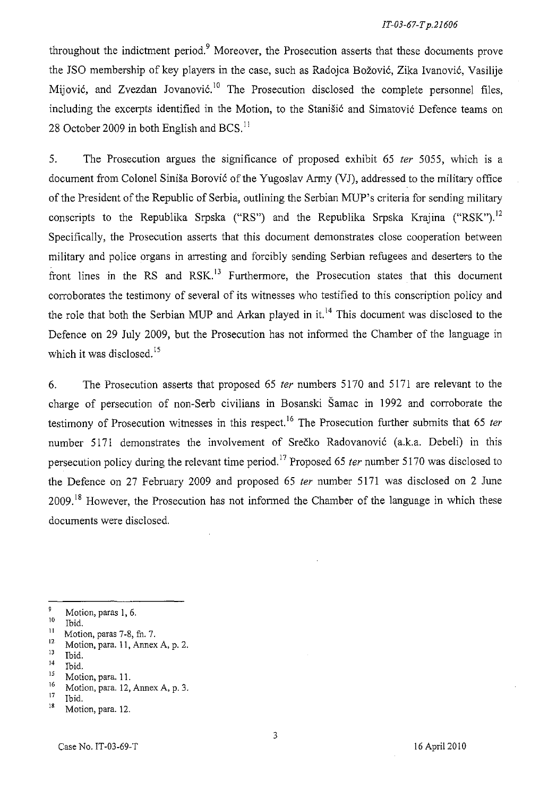throughout the indictment period.<sup>9</sup> Moreover, the Prosecution asserts that these documents prove the JSO membership of key players in the case, such as Radojca Božović, Zika Ivanović, Vasilije Mijović, and Zvezdan Jovanović.<sup>10</sup> The Prosecution disclosed the complete personnel files, including the excerpts identified in the Motion, to the Stanišić and Simatović Defence teams on 28 October 2009 in both English and BCS. II

5. The Prosecution argues the significance of proposed exhibit 65 *ter* 5055, which is a document from Colonel Siniša Borović of the Yugoslav Army (VJ), addressed to the military office of the President of the Republic of Serbia, outlining the Serbian MUP's criteria for sending military conscripts to the Republika Srpska ("RS") and the Republika Srpska Krajina ("RSK").<sup>12</sup> Specifically, the Prosecution asserts that this document demonstrates close cooperation between military and police organs in arresting and forcibly sending Serbian refugees and deserters to the front lines in the RS and RSK.<sup>13</sup> Furthermore, the Prosecution states that this document corroborates the testimony of several of its witnesses who testified to this conscription policy and the role that both the Serbian MUP and Arkan played in it.<sup>14</sup> This document was disclosed to the Defence on 29 July 2009, but the Prosecution has not informed the Chamber of the language in which it was disclosed.<sup>15</sup>

6. The Prosecution asserts that proposed 65 *ter* numbers 5170 and 5171 are relevant to the charge of persecution of non-Serb civilians in Bosanski Samac in 1992 and corroborate the testimony of Prosecution witnesses in this respect.<sup>16</sup> The Prosecution further submits that 65 *ter* number 5171 demonstrates the involvement of Srečko Radovanović (a.k.a. Debeli) in this persecution policy during the relevant time period. 17 Proposed 65 *ter* number 5170 was disclosed to the Defence on 27 February 2009 and proposed 65 *ter* number 5171 was disclosed on 2 June 2009.<sup>18</sup> However, the Prosecution has not informed the Chamber of the language in which these documents were disclosed.

- $\frac{12}{13}$  Motion, para. 11, Annex A, p. 2.
- $\frac{13}{14}$  Ibid.

 $^{16}$  Motion, para. 12, Annex A, p. 3.

<sup>9</sup> Motion, paras I, 6.

 $\frac{10}{11}$  Ibid.

<sup>&</sup>lt;sup>11</sup> Motion, paras 7-8, fn. 7.<br> $\frac{12}{12}$  Motion para 11 Aprov

 $^{14}$  Ibid.<br> $^{15}$  Met:

<sup>&</sup>lt;sup>15</sup> Motion, para. 11.<br><sup>16</sup> Motion para 12.

 $\frac{17}{18}$  Ibid.

Motion, para. 12.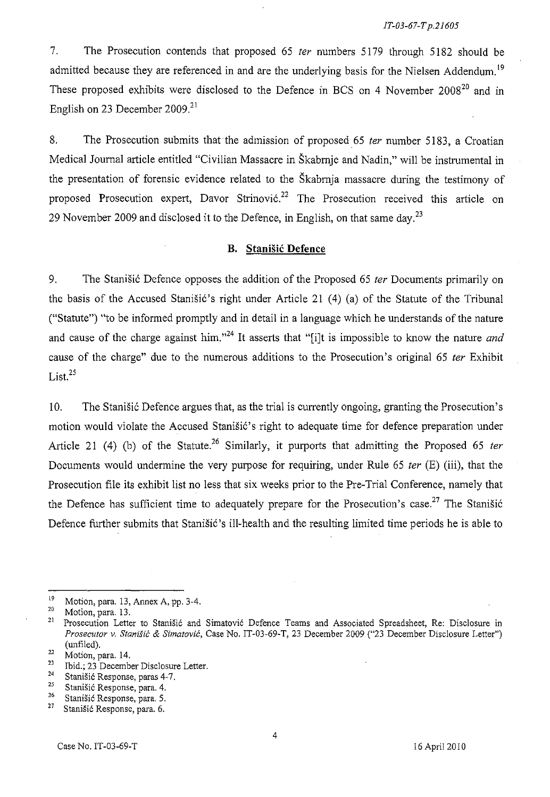7. The Prosecution contends that proposed 65 ter numbers 5179 through 5182 should be admitted because they are referenced in and are the underlying basis for the Nielsen Addendum.<sup>19</sup> These proposed exhibits were disclosed to the Defence in BCS on 4 November 2008<sup>20</sup> and in English on 23 December 2009.<sup>21</sup>

8. The Prosecution submits that the admission of proposed 65 ter number 5183, a Croatian Medical Journal article entitled "Civilian Massacre in Skabrnje and Nadin," will be instrumental in the presentation of forensic evidence related to the Skabrnja massacre during the testimony of proposed Prosecution expert, Davor Strinović.<sup>22</sup> The Prosecution received this article on 29 November 2009 and disclosed it to the Defence, in English, on that same day.<sup>23</sup>

### **B. Stanisic Defence**

9. The Stanisic Defence opposes the addition of the Proposed 65 ter Documents primarily on the basis of the Accused Stanisic's right under Article 21  $(4)$  (a) of the Statute of the Tribunal ("Statute") "to be informed promptly and in detail in a language which he understands of the nature and cause of the charge against him."<sup>24</sup> It asserts that "[i]t is impossible to know the nature *and* cause of the charge" due to the numerous additions to the Prosecution's original 65 ter Exhibit List. $^{25}$ 

10. The Stanisic Defence argues that, as the trial is currently ongoing, granting the Prosecution's motion would violate the Accused Stanišić's right to adequate time for defence preparation under Article 21 (4) (b) of the Statute.<sup>26</sup> Similarly, it purports that admitting the Proposed 65 *ter* Documents would undermine the very purpose for requiring, under Rule 65 *ter* (E) (iii), that the Prosecution file its exhibit list no less that six weeks prior to the Pre-Trial Conference, namely that the Defence has sufficient time to adequately prepare for the Prosecution's case.<sup>27</sup> The Stanišić Defence further submits that Stanišić's ill-health and the resulting limited time periods he is able to

<sup>&</sup>lt;sup>19</sup> Motion, para. 13, Annex A, pp. 3-4.<br><sup>20</sup> Motion, para. 13

 $\frac{20}{21}$  Motion, para. 13.

Prosecution Letter to Stanišić and Simatović Defence Teams and Associated Spreadsheet, Re: Disclosure in *Prosecutor* v. *Stanisic* & *Simatovic,* Case No. IT -03-69-T, 23 December 2009 ("23 December Disclosure Letter") (unfiled).

 $\frac{22}{23}$  Motion, para. 14.

<sup>&</sup>lt;sup>23</sup> Ibid.; 23 December Disclosure Letter.<br><sup>24</sup> Storišić Bernama name 4.7

<sup>&</sup>lt;sup>24</sup> Stanišić Response, paras 4-7.<br><sup>25</sup> Stanišić Bennese, para 4.

**<sup>25</sup> StaniSic Response, para. 4.** 

**<sup>26</sup> Stanisi6 Response, para. 5.** 

Stanišić Response, para. 6.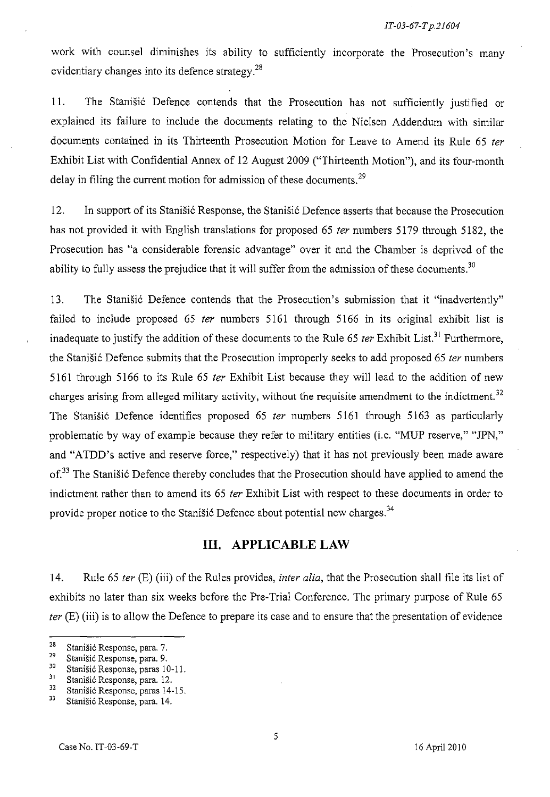work with counsel diminishes its ability to sufficiently incorporate the Prosecution's many evidentiary changes into its defence strategy.<sup>28</sup>

11. The Stanisic Defence contends that the Prosecution has not sufficiently justified or explained its failure to include the documents relating to the Nielsen Addendum with similar documents contained in its Thirteenth Prosecution Motion for Leave to Amend its Rule 65 *ter*  Exhibit List with Confidential Annex of 12 August 2009 ("Thirteenth Motion"), and its four-month delay in filing the current motion for admission of these documents.<sup>29</sup>

12. In support of its Stanisic Response, the Stanisic Defence asserts that because the Prosecution has not provided it with English translations for proposed 65 *ter* numbers 5179 through 5182, the Prosecution has "a considerable forensic advantage" over it and the Chamber is deprived of the ability to fully assess the prejudice that it will suffer from the admission of these documents.<sup>30</sup>

13. The Stanisic Defence contends that the Prosecution's submission that it "inadvertently" failed to include proposed 65 *ter* numbers 5161 through 5166 in its original exhibit list is inadequate to justify the addition of these documents to the Rule 65 *ter* Exhibit List.<sup>31</sup> Furthermore, the Stanisic Defence submits that the Prosecution improperly seeks to add proposed 65 *ter* numbers 5161 through 5166 to its Rule 65 *ter* Exhibit List because they will lead to the addition of new charges arising from alleged military activity, without the requisite amendment to the indictment.<sup>32</sup> The Stanisic Defence identifies proposed 65 *ter* numbers 5161 through 5163 as particularly problematic by way of example because they refer to military entities (i.e. "MUP reserve," "JPN," and "ATDD's active and reserve force," respectively) that it has not previously been made aware of.<sup>33</sup> The Stanišić Defence thereby concludes that the Prosecution should have applied to amend the indictment rather than to amend its 65 *ter* Exhibit List with respect to these documents in order to provide proper notice to the Stanišić Defence about potential new charges.<sup>34</sup>

### **Ill. APPLICABLE LAW**

14. Rule 65 *ter* (E) (iii) of the Rules provides, *inter alia,* that the Prosecution shall file its list of exhibits no later than six weeks before the Pre-Trial Conference. The primary purpose of Rule 65 *ter* (E) (iii) is to allow the Defence to prepare its case and to ensure that the presentation of evidence

**<sup>28</sup> Stanisi6 Response, para.** 7.

<sup>&</sup>lt;sup>29</sup> Stanišić Response, para. 9.<br><sup>30</sup> Stanišić Response, paras 14

 $30$  Stanišić Response, paras 10-11.<br> $31$  Stanišić Bernanse, para 12.

 $31$ Stanišić Response, para. 12.<br> $32$ Stanišić Bernama, paras. 14.

<sup>&</sup>lt;sup>32</sup> Stanišić Response, paras 14-15.<br><sup>33</sup> Stanišić Response, para 14.

Stanišić Response, para. 14.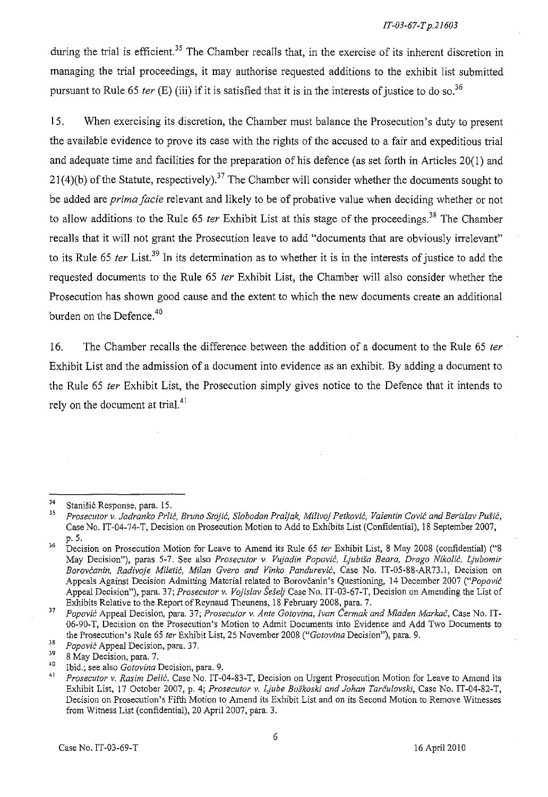during the trial is efficient.<sup>35</sup> The Chamber recalls that, in the exercise of its inherent discretion in managing the trial proceedings, it may authorise requested additions to the exhibit list submitted pursuant to Rule 65 *ter* (E) (iii) if it is satisfied that it is in the interests of justice to do so.<sup>36</sup>

15. When exercising its discretion, the Chamber must balance the Prosecution's duty to present the available evidence to prove its case with the rights of the accused to a fair and expeditious trial and adequate time and facilities for the preparation of his defence (as set forth in Articles 20(1) and 21(4)(b) of the Statute, respectively).<sup>37</sup> The Chamber will consider whether the documents sought to be added are *prima facie* relevant and likely to be of probative value when deciding whether or not to allow additions to the Rule 65 *ter* Exhibit List at this stage of the proceedings.<sup>38</sup> The Chamber recaIIs that it wiII not grant the Prosecution leave to add "documents that are obviously irrelevant" to its Rule 65 *ter* List.39 In its determination as to whether it is in the interests of justice to add the requested documents to the Rule 65 *ter* Exhibit List, the Chamber wiII also consider whether the Prosecution has shown good cause and the extent to which the new documents create an additional burden on the Defence.<sup>40</sup>

16. The Chamber recalls the difference between the addition of a document to the Rule 65 *ter*  Exhibit List and the admission of a document into evidence as an exhibit. By adding a document to the Rule 65 *ter* Exhibit List, the Prosecution simply gives notice to the Defence that it intends to rely on the document at trial.<sup>41</sup>

<sup>&</sup>lt;sup>34</sup> Stanišić Response, para. 15.<br><sup>35</sup> Processitor *N Isdussito* Prij

J5 *Prosecutor v. Jadranko Prlic, Bruno Stojic, Slobodan Praljak, Milivoj Petkovic, Valentin Covic and Berislav Pusic,*  Case No. IT-04-74-T, Decision on Prosecution Motion to Add to Exhibits List (Confidential), 18 September 2007, p.5.

<sup>&</sup>lt;sup>36</sup> Decision on Prosecution Motion for Leave to Amend its Rule 65 *ter* Exhibit List, 8 May 2008 (confidential) ("8 May Decision"), paras 5-7. See also *Prosecutor* v. *Vujadin Popovic, Ljubisa Beara, Drago Nikolic, Ljubomir Borovcanin, Radivoje Milelic, Milan Gvero and Vinko Pandurevic,* Case No. IT-05-SS-AR73.1, Decision on Appeals Against Decision Admitting Material related to Borovcanin's Questioning, 14 December 2007 *("Popovic*  Appeal Decision"), para. 37; *Prosecutor* v. *Vojislav Seselj* Case No. IT-03-67-T, Decision on Amending the List of Exhibits Relative to the Report of Reynaud Theunens, 18 February 2008, para. 7.

*<sup>37</sup> Popovic* Appeal Decision, para. 37; *Prosecutor* v. *Ante Gotovina, [van Cermak and Mladen Markac,* Case No. IT-06-90-T, Decision on the Prosecution's Motion to Admit Documents into Evidence and Add Two Documents to the Prosecution's Rule 65 *ter* Exhibit List, 25 November 200S *("Gotovina* Decision"), para. 9.

<sup>&</sup>lt;sup>38</sup> *Popović* Appeal Decision, para. 37.

 $\frac{39}{40}$  8 May Decision, para. 7.

<sup>40</sup> Ibid.; see also *Gotovina* Decision, para. 9.

<sup>4</sup>J *Prosecutor* v. *Rasim Delic,* Case No. IT-04-83-T, Decision on Urgent Prosecution Motion for Leave to Amend its Exhibit List, 17 October 2007, p. 4; *Prosecutor* v. *Ljube Boskoski and Johan Tarculovski,* Case No. IT-04-S2-T, Decision on Prosecution's Fifth Motion to Amend its Exhibit List and on its Second Motion to Remove Witnesses from Witness List (confidential), 20 Apri12007, para. 3.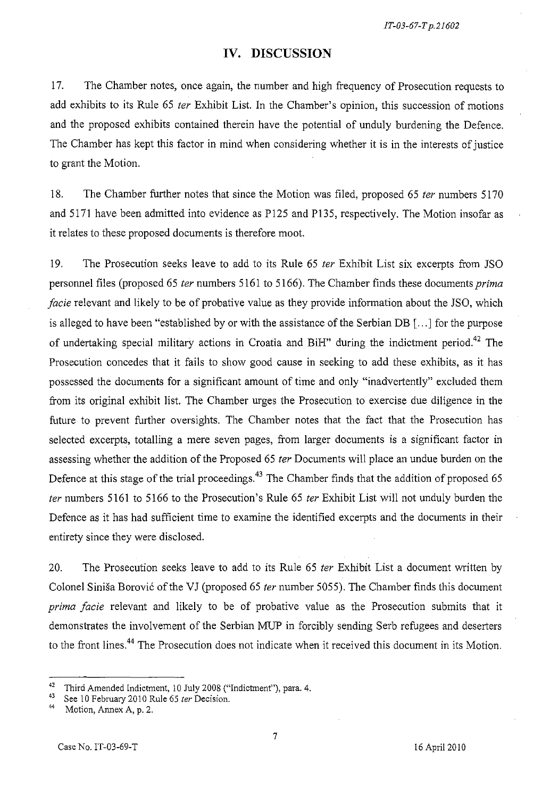# **IV. DISCUSSION**

17. The Chamber notes, once again, the number and high frequency of Prosecution requests to add exhibits to its Rule 65 ter Exhibit List. In the Chamber's opinion, this succession of motions and the proposed exhibits contained therein have the potential of unduly burdening the Defence. The Chamber has kept this factor in mind when considering whether it is in the interests of justice to grant the Motion.

18. The Chamber further notes that since the Motion was filed, proposed 65 ter numbers 5170 and 5171 have been admitted into evidence as Pl25 and P135, respectively. The Motion insofar as it relates to these proposed documents is therefore moot.

19. The Prosecution seeks leave to add to its Rule 65 ter Exhibit List six excerpts from JSO personnel files (proposed 65 ter numbers 5161 to 5166). The Chamber finds these documents prima facie relevant and likely to be of probative value as they provide information about the *ISO,* which is alleged to have been "established by or with the assistance of the Serbian DB [ ... ] for the purpose of undertaking special military actions in Croatia and BiH" during the indictment period.<sup>42</sup> The Prosecution concedes that it fails to show good cause in seeking to add these exhibits, as it has possessed the documents for a significant amount of time and only "inadvertently" excluded them from its original exhibit list. The Chamber urges the Prosecution to exercise due diligence in the future to prevent further oversights. The Chamber notes that the fact that the Prosecution has selected excerpts, totalling a mere seven pages, from larger documents is a significant factor in assessing whether the addition of the Proposed 65 ter Documents will place an undue burden on the Defence at this stage of the trial proceedings.<sup>43</sup> The Chamber finds that the addition of proposed 65 fer numbers 5161 to 5166 to the Prosecution's Rule 65 fer Exhibit List will not unduly burden the Defence as it has had sufficient time to examine the identified excerpts and the documents in their entirety since they were disclosed.

20. The Prosecution seeks leave to add to its Rule 65 ter Exhibit List a document written by Colonel Siniša Borović of the VJ (proposed 65 ter number 5055). The Chamber finds this document prima facie relevant and likely to be of probative value as the Prosecution submits that it demonstrates the involvement of the Serbian MUP in forcibly sending Serb refugees and deserters to the front lines.<sup>44</sup> The Prosecution does not indicate when it received this document in its Motion.

<sup>&</sup>lt;sup>42</sup> Third Amended Indictment, 10 July 2008 ("Indictment"), para. 4.<br> $^{43}$  See 10 February 2010 Puls 65 to Perisian

<sup>&</sup>lt;sup>43</sup> See 10 February 2010 Rule 65 *ter* Decision.

Motion, Annex A, p. 2.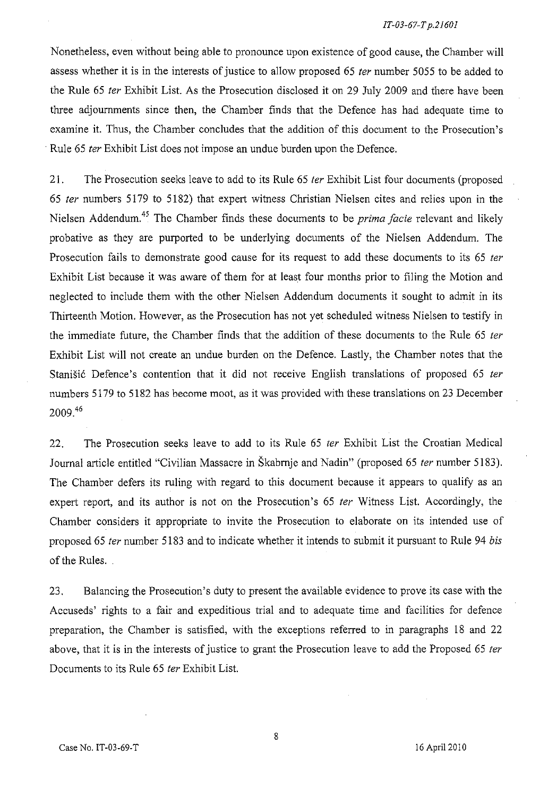Nonetheless, even without being able to pronounce upon existence of good cause, the Chamber will assess whether it is in the interests of justice to allow proposed 65 ter number 5055 to be added to the Rule 65 fer Exhibit List. As the Prosecution disclosed it on 29 July 2009 and there have been three adjournments since then, the Chamber finds that the Defence has had adequate time to examine it. Thus, the Chamber concludes that the addition of this document to the Prosecution's Rule 65 fer Exhibit List does not impose an undue burden upon the Defence.

21. The Prosecution seeks leave to add to its Rule 65 *ter* Exhibit List four documents (proposed *65* fer numbers 5179 to 5182) that expert witness Christian Nielsen cites and relies upon in the Nielsen Addendum.45 The Chamber finds these documents to be *prima facie* relevant and likely probative as they are purported to be underlying documents of the Nielsen Addendum. The Prosecution fails to demonstrate good cause for its request to add these documents to its 65 ter Exhibit List because it was aware of them for at least four months prior to filing the Motion and neglected to include them with the other Nielsen Addendum documents it sought to admit in its Thirteenth Motion. However, as the Prosecution has not yet scheduled witness Nielsen to testify in the immediate future, the Chamber finds that the addition of these documents to the Rule 65 ter Exhibit List will not create an undue burden on the Defence. Lastly, the Chamber notes that the Stanišić Defence's contention that it did not receive English translations of proposed 65 ter numbers 5179 to 5182 has become moot, as it was provided with these translations on 23 December  $2009.<sup>46</sup>$ 

22. The Prosecution seeks leave to add to its Rule 65 ter Exhibit List the Croatian Medical Journal article entitled "Civilian Massacre in Škabrnje and Nadin" (proposed 65 ter number 5183). The Chamber defers its ruling with regard to this document because it appears to qualify as an expert report, and its author is not on the Prosecution's 65 *ter* Witness List. Accordingly, the Chamber considers it appropriate to invite the Prosecution to elaborate on its intended use of proposed 65 ter number 5183 and to indicate whether it intends to submit it pursuant to Rule 94 bis of the Rules.

23. Balancing the Prosecution's duty to present the available evidence to prove its case with the Accuseds' rights to a fair and expeditious trial and to adequate time and facilities for defence preparation, the Chamber is satisfied, with the exceptions referred to in paragraphs 18 and 22 above, that it is in the interests of justice to grant the Prosecution leave to add the Proposed 65 ter Documents to its Rule 65 fer Exhibit List.

8